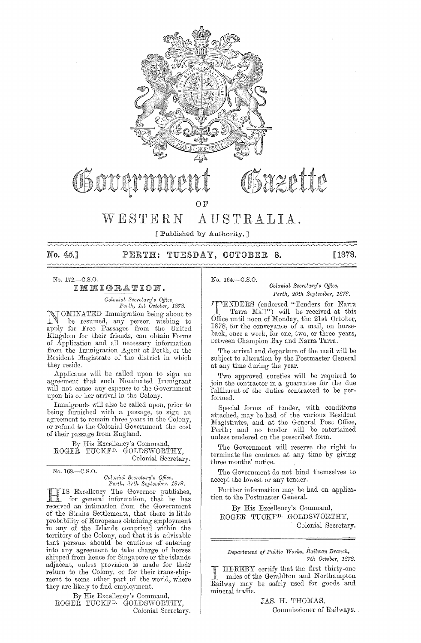

[ Published by Authority.]

No. 45.]

#### PERTH: TUESDAY, OCTOBER - 8.

[1878.

 $No. 172 - C.S.O.$ 

IMMIGRATION.

Colonial Secretary's Office,<br>Perth, 1st October, 1878.

OMINATED Immigration being about to N be resumed, any person wishing to apply for Free Passages from the United Kingdom for their friends, can obtain Forms of Application and all necessary information<br>from the Immigration Agent at Perth, or the Resident Magistrate of the district in which they reside.

Applicants will be called upon to sign an agreement that such Nominated Immigrant will not cause any expense to the Government<br>upon his or her arrival in the Colony.

Immigrants will also be called upon, prior to being furnished with a passage, to sign an agreement to remain three years in the Colony, or refund to the Colonial Government the cost of their passage from England.

By His Excellency's Command, ROGER TUCKF<sup>D.</sup> GOLDSWORTHY, Colonial Secretary.

No. 168.-C.S.O.

Colonial Secretary's Office, Perth, 27th September, 1878.

IS Excellency The Governor publishes,<br>for general information, that he has received an intimation from the Government of the Straits Settlements, that there is little probability of Europeans obtaining employment in any of the Islands comprised within the<br>territory of the Colony, and that it is advisable<br>that persons should be cautious of entering into any agreement to take charge of horses<br>shipped from hence for Singapore or the islands adjacent, unless provision is made for their ment to some other part of the world, where<br>they are likely to find employment.

By His Excellency's Command, ROGEŘ TUCKF<sup>D.</sup> GOLDSWORTHY, Colonial Secretary. No. 164.-C.S.O.

Colonial Secretary's Office, Perth, 20th September, 1878.

**TENDERS** (endorsed "Tenders for Narra Tarra Mail") will be received at this Office until noon of Monday, the 21st October, 1878, for the conveyance of a mail, on horseback, once a week, for one, two, or three years, between Champion Bay and Narra Tarra.

The arrival and departure of the mail will be subject to alteration by the Postmaster General at any time during the year.

Two approved sureties will be required to join the contractor in a guarantee for the due fulfilment of the duties contracted to be performed.

Special forms of tender, with conditions attached, may be had of the various Resident Magistrates, and at the General Post Office, Perth; and no tender will be entertained unless rendered on the prescribed form.

The Government will reserve the right to terminate the contract at any time by giving three months' notice.

The Government do not bind themselves to accept the lowest or any tender.

Further information may be had on application to the Postmaster General.

By His Excellency's Command, ROGER TUCKF<sup>D.</sup> GOLDSWORTHY, Colonial Secretary.

Department of Public Works, Railway Branch, 7th October, 1878.

HEREBY certify that the first thirty-one miles of the Geraldton and Northampton Railway may be safely used for goods and mineral traffic.

> JAS. H. THOMAS, Commissioner of Railways.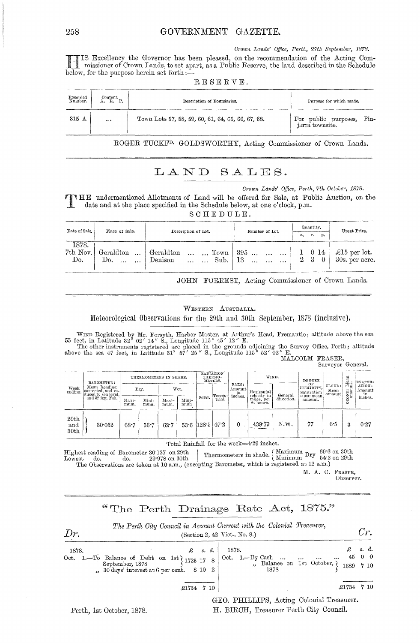*Crown Lands' Office, Perth, 27th September, 1878.* 

HIS Excellency the Governor has been pleased, on the recommendation of the Acting Com-I missioner of Crown Lands, to set apart, as a Public Reserve, the land described in the Schedule below, for the purpose herein set forth; $\mathcal{\tilde{-}}$ 

| RESERVE. |  |  |  |  |  |  |  |  |  |
|----------|--|--|--|--|--|--|--|--|--|
|----------|--|--|--|--|--|--|--|--|--|

| Recorded<br>Number. | $_{\rm Content}$<br>R. | Description of Boundaries.                        | Purpose for which made.                         |
|---------------------|------------------------|---------------------------------------------------|-------------------------------------------------|
| 315 A               |                        | Town Lots 57, 58, 59, 60, 61, 64, 65, 66, 67, 68. | Pin-<br>For public purposes,<br>jarra townsite. |

ROGER TUCKF<sup>D.</sup> GOLDSWORTHY, Acting Commissioner of Crown Lands.

## LAND SALES.

*Crown Lands' Office, Perth, 7th October, 1878.* 

T HE undermentioned Allotments of Land will be offered for Sale, at Public Auction, on the date and at the place specified in the Schedule below, at one o'clock, p.m.

SCHEDULE.

| Date of Sale.            | Place of Sale.                    | Description of Lot.                                                     | Number of Lot.                                                                | Quantity.<br>р.<br>т.<br>а. | Upset Price.                               |  |
|--------------------------|-----------------------------------|-------------------------------------------------------------------------|-------------------------------------------------------------------------------|-----------------------------|--------------------------------------------|--|
| 1878.<br>7th Nov.<br>Do. | Geraldton<br>$\sim 10$<br>Do.<br> | Geraldton<br>$\ldots$ Town  <br>$\cdots$<br>Denison<br>Sub.<br>$\cdots$ | 395<br>$\ddotsc$<br>$\ddotsc$<br>$\cdots$<br>-13<br>$\ddotsc$<br>$\cdots$<br> | $1 \t014$<br>$2 \quad 3$    | $\mathcal{L}15$ per lot.<br>30s. per acre. |  |

JOHN FORREST, Acting Commissioner of Crown Lands.

### WESTERN AUSTRALIA.

Meteorological Observations for the 29th and 30th September, 1878 (inclusive).

WIND Registered by Mr. Forsyth, Harbor Master, at Arthur's Head, Fremantle; altitude above the sea<br>55 feet, in Latitude 32° 02' 14" S., Longitude 115° 45' 12" E.<br>The other instruments registered are placed in the grounds above the sea 47 feet, in Latitude 31°  $57'$  25" S., Longitude 115°  $52'$  02" E. MALCOLM FRASER,

Surveyor General.

| Week<br>ending.                 | BAROMETER:                                                  | THERMOMETERS IN SHADE. |               |               | RADIATION<br>THERMO-<br>METERS. |        |         | WIND.                 |                           | DEGREE     |                               | lean<br>L                 | EVAPOR-            |                        |
|---------------------------------|-------------------------------------------------------------|------------------------|---------------|---------------|---------------------------------|--------|---------|-----------------------|---------------------------|------------|-------------------------------|---------------------------|--------------------|------------------------|
|                                 | Mean Reading<br> corrected, and re- <br>duced to sea level, |                        | Dry.          |               | Wet.                            |        | Terres- | RAIN:<br>Amount<br>in | Horizontal<br>velocity in | General    | OF<br>HUMIDITY.<br>Saturation | CLOUD:<br>Mean<br>amount. | 布目<br>ستعد<br>ONE: | ATION:<br>Amount<br>in |
|                                 | and 32 dex. Fah.                                            | Maxi-<br>mum.          | Mini-<br>mum. | Maxi-<br>mum. | Mini-<br>mun                    | Solar. | trial.  | inches.               | miles, per<br>24 hours.   | direction. | $=100$ : mean<br>amount.      |                           | S                  | inches.                |
| 29th<br>and<br>30 <sub>th</sub> | 30.052                                                      | 68.7                   | $56 - 7$      | $62 - 7$      | $53.6$ (128.5 47.2)             |        |         | $\theta$              | 439.79                    | N.W.       | 77                            | 6.5                       | $\Omega$<br>Ő      | 0.27                   |

Total Rainfall for the week=4'29 inches.

 $\begin{array}{c|c|c|c|c|c} & & & & & & & \text{\textcolor{red}{\textbf{1}} & \textbf{1}} & \textbf{1} & \textbf{1} & \textbf{1} & \textbf{1} & \textbf{1} & \textbf{1} & \textbf{1} & \textbf{1} & \textbf{1} & \textbf{1} & \textbf{1} & \textbf{1} & \textbf{1} & \textbf{1} & \textbf{1} & \textbf{1} & \textbf{1} & \textbf{1} & \textbf{1} & \textbf{1} & \textbf{1} & \textbf{1} & \textbf{1} & \textbf{1} & \textbf{1}$ Lowest do. do. 29.978 on 30th Intermometers in share. Minimum  $1.54 \cdot 2$ <br>The Observations are taken at 10 a.m., (excepting Barometer, which is registered at 12 a.m.)

M. A. C. FRASER, Observer.

## "The Perth Drainage Rate Act,  $1875$ ."



Perth, 1st October, 1878.

GEO. PHILLIPS, Acting Colonial Treasurer. H. BIRCH, Treasurer Perth City Council.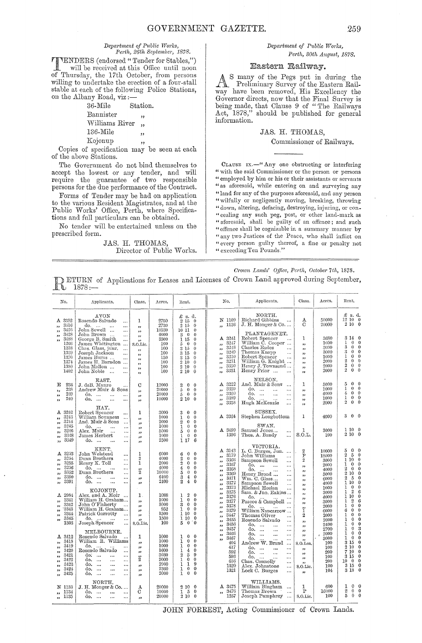#### $Department of Public Works,$ *Perth, 26th September, 1878,*

**TENDERS** (endorsed "Tender for Stables,")<br>will be received at this Office until noon of Thursday, the 17th October, from persons willing to undertake the erection of a four-stall stable at each of the following Police Stations, on the Albany Road, viz:-<br>36-Mile 8

Station. Bannister Williams River 136-Mile Kojonup "<br>יי "<br>.. "

" Copies of specification may be seen at each of the above Stations,

The Government do not bind themselves to accept the lowest or any tender, and will require the guarantee of two responsible persons for the due performance of the Contract.

Forms of Tender may be had on application to the varions Resident Magistrates, and at the Public Works' Office, Perth, where Specifications and full particulars can be obtained.

No tender will be entertained unless on the prescribed form,

## JAS. H. THOMAS, Director of Public Works.

## *Department of Public Works*, *Perth, 30th A1tgust, 1878.*

### Eastern Railway.

many of the Pegs put in during the  $\mathbb{A}^{\cdot}$ Preliminary Survey of the Eastern Railway have been removed, His Excellency the Governor directs, now that the Final Survey is being made, that Clause 9 of "The Railways Act, 1878," should be published for general information.

### JAS. H. THOMAS,

### Commissioner of Railways.

CLAUSE IX.<sup>44</sup> Any one obstructing or interfering " with the said Commissioner or the person or persons " employed by him or his or their assistants or servants "as aforesaid, while entering on and surveying any "land for any of the purposes aforesaid, and any person "wilfully or negligently moving, breaking, throwing "down, altering, defacing, destroying, injuring, or con-"cealing any snch peg, post, or other land-mark as "aforesaid, shall be guilty of an offence; and such " offence shall be cognizable in a summary manner by "any two Justices of the Peace, who shall inflict on "eyery person guilty thereof, a fine or penalty not " exceeding Ten Pounds."

*Crown Lands' Office, Perth, October 7th, 1878.* 

|  | <b>DETURN</b> of Applications for Leases and Licenses of Crown Land approved during September, 1878 :- |  |  |  |  |
|--|--------------------------------------------------------------------------------------------------------|--|--|--|--|
|  |                                                                                                        |  |  |  |  |

| No.                                                                                                                                          | Applicants.                                                                                                                                                                                                                                                                         | Class.                                                                                                                            | Acres.                                                               | Rent.                                                                                                                                                                                                                                                                                                                                                                          | No.                                                                                                                                                                                                  | Applicants.                                                                                                                                                                                                                                                                        | Class.                                                                                                                                                                              | Acres.                                                                                                                                                                                                                | Rent.                                                                                                                                                                                                                                                                           |                                                              |                                                                                                                                                                                                                                                                                               |
|----------------------------------------------------------------------------------------------------------------------------------------------|-------------------------------------------------------------------------------------------------------------------------------------------------------------------------------------------------------------------------------------------------------------------------------------|-----------------------------------------------------------------------------------------------------------------------------------|----------------------------------------------------------------------|--------------------------------------------------------------------------------------------------------------------------------------------------------------------------------------------------------------------------------------------------------------------------------------------------------------------------------------------------------------------------------|------------------------------------------------------------------------------------------------------------------------------------------------------------------------------------------------------|------------------------------------------------------------------------------------------------------------------------------------------------------------------------------------------------------------------------------------------------------------------------------------|-------------------------------------------------------------------------------------------------------------------------------------------------------------------------------------|-----------------------------------------------------------------------------------------------------------------------------------------------------------------------------------------------------------------------|---------------------------------------------------------------------------------------------------------------------------------------------------------------------------------------------------------------------------------------------------------------------------------|--------------------------------------------------------------|-----------------------------------------------------------------------------------------------------------------------------------------------------------------------------------------------------------------------------------------------------------------------------------------------|
| A 3392<br>3416<br>,,                                                                                                                         | AVON<br>Rosendo Salvado<br>$\ddotsc$<br>do.<br>$\sim$ 100 $\pm$<br>$\ldots$                                                                                                                                                                                                         | 1<br>$\overline{\phantom{a}}$                                                                                                     | 2750<br>2730                                                         | £ s. d.<br>2150<br>$\overline{2}$ 15<br>$\mathbf{0}$                                                                                                                                                                                                                                                                                                                           | N 1109<br>1136<br>$\overline{\mathbf{B}}$                                                                                                                                                            | NORTH.<br>Richard Gibbins<br>$\ddotsc$<br>$J. H. Monger & Co. \ldots$                                                                                                                                                                                                              | Α<br>C                                                                                                                                                                              | 50000<br>20000                                                                                                                                                                                                        | £ s. d.<br>12 10 0<br>2100                                                                                                                                                                                                                                                      |                                                              |                                                                                                                                                                                                                                                                                               |
| 3426<br>,,<br>3428<br>$\overline{\phantom{a}}$<br>3488<br>$^{\prime}$<br>1266<br>1338<br>1339<br>1370<br>1374<br>1380<br>1402                | John Sewell<br>$\ddotsc$<br>John Brown<br>$\ddotsc$<br>George B. Smith<br>$\ldots$<br>James Whitington<br>Chas. Glass, junr.<br>$\sim 10$<br>$\ddotsc$<br>Joseph Jackson<br>$\ddotsc$<br>James Burns<br>$\ddotsc$<br>James H. Barndon<br>John Mallon<br><br>John Noble<br>$\ddotsc$ | $, \,$<br>$^{\tiny{5}}$<br>,<br>S.O.Lic.<br>$\mathbf{r}$<br>$\bullet$<br>$\bullet$<br>$\pmb{\cdot}$<br>$\rightarrow$<br>$\bullet$ | 4000<br>3500<br>100<br>100<br>100<br>150<br>100<br>100<br>100        |                                                                                                                                                                                                                                                                                                                                                                                | 10530                                                                                                                                                                                                | 1011<br>$\Omega$<br>$3 \quad 0$<br>$\Omega$<br>$\theta$<br>1 15<br>$\pmb{0}$<br>$5\quad 0$<br>3 15<br>$\theta$<br>3 15<br>$\theta$<br>3 15<br>$\theta$<br>2 10<br>$\theta$<br>$2\,10$<br>$\theta$<br>2 10<br>$\theta$                                                              | A 3241<br>3247<br>,,<br>3248<br>رو<br>3249<br>,,<br>3250<br>,,<br>3251<br>$\overline{\phantom{a}}$<br>3350<br>,,<br>3351<br>,,                                                      | PLANTAGENET.<br>Robert Spencer<br>$\cdots$<br>William Ĉ. Cooper<br>Charles Eades<br>$\ddotsc$<br>Thomas Knapp<br><br>Robert Spencer<br>$\cdots$<br>William G. Knight<br>Henry J. Townsend<br>Henry Prior<br>$\ddotsc$ | 1<br>,,<br>$\overline{\mathbf{z}}$<br>$\overline{\mathbf{1}}$<br>,,<br>$^{\tiny{\text{33}}}$<br>,,                                                                                                                                                                              | 3680<br>1000<br>3000<br>3000<br>1000<br>2000<br>2000<br>2000 | 3 14<br>$\theta$<br>1<br>$\theta$<br>$\theta$<br>$\boldsymbol{3}$<br>$\theta$<br>$\overline{0}$<br>3<br>$\theta$<br>$\overline{0}$<br>$\theta$<br>1<br>$\theta$<br>$\bf{2}$<br>$\theta$<br>$\theta$<br>$\overline{2}$<br>$\theta$<br>$\overline{0}$<br>$\overline{2}$<br>$\theta$<br>$\theta$ |
| 234<br>E<br>238<br>,,<br>239<br>,,<br>240<br>,,                                                                                              | EAST.<br>J. deB. Munro<br>Andrew Muir & Sons<br>do.<br>$\ddotsc$<br><br>do.<br>$\ddotsc$<br>$\cdots$                                                                                                                                                                                | С<br>$\overline{\phantom{a}}$<br>,,<br>33                                                                                         | 12000<br>20000<br>20000<br>10000                                     | 3<br>0<br>$\Omega$<br>$\overline{5}$<br>$\theta$<br>$\bf{0}$<br>$\theta$<br>$\theta$<br>5<br>2 10<br>$\bf{0}$                                                                                                                                                                                                                                                                  | A 3222<br>3359<br>,,<br>3360<br>,,<br>3389<br>رر<br>3358<br>,,                                                                                                                                       | NELSON.<br>And. Muir & Sons<br>$\ddotsc$<br>do.<br>$\ddotsc$<br><br>do.<br>$\cdots$<br>$\ddotsc$<br>do.<br>$\ddotsc$<br><br>Hugh McKenzie<br>$\cdots$                                                                                                                              | 1<br>,,<br>$^{\circ}$<br>,,<br>,,                                                                                                                                                   | 5000<br>1000<br>4000<br>1000<br>2000                                                                                                                                                                                  | 5<br>$\Omega$<br>$\theta$<br>$\theta$<br>1<br>$\overline{0}$<br>4<br>$\overline{0}$<br>$\bf{0}$<br>$\mathbf{1}$<br>$\theta$<br>$\overline{0}$<br>$\overline{2}$<br>$\theta$<br>$\bf{0}$                                                                                         |                                                              |                                                                                                                                                                                                                                                                                               |
| A 3242<br>3243<br>,,<br>3244<br>,,                                                                                                           | HAY.<br>Robert Spencer<br><br>William Sounness<br>$\cdots$<br>And. Muir & Sons<br>$\ddotsc$                                                                                                                                                                                         | 1<br>وو<br>وو                                                                                                                     | 3000<br>1000<br>2000                                                 | $\theta$<br>$\theta$<br>3<br>$\mathbf{0}$<br>$\mathbf{0}$<br>1<br>$\bf{0}$<br>$\theta$<br>$\boldsymbol{2}$                                                                                                                                                                                                                                                                     | A 3364                                                                                                                                                                                               | SUSSEX.<br>Stephen Longbottom                                                                                                                                                                                                                                                      | 1                                                                                                                                                                                   | 4000                                                                                                                                                                                                                  | $\theta$<br>$\Omega$<br>3                                                                                                                                                                                                                                                       |                                                              |                                                                                                                                                                                                                                                                                               |
| 3245<br>$^{\circ}$<br>3246<br>$\overline{\phantom{a}}$<br>3348<br>$\overline{\phantom{a}}$<br>3349<br>$\overline{\phantom{a}}$               | $_{\mbox{Alex.}\;{\mbox{Moir}}}^{\mbox{do.}\;}$<br>$\ddotsc$<br>$\cdots$<br><br>James Herbert<br><br>do.<br>$\ddotsc$<br>$\ddotsc$                                                                                                                                                  | ,,<br>,,<br>$, \,$<br>33                                                                                                          | 1000<br>5000<br>1000<br>2500                                         | $\mathbf{0}$<br>$\Omega$<br>1<br>$\boldsymbol{0}$<br>$\theta$<br>5<br>$\theta$<br>$\mathbf{1}$<br>$\bf{0}$<br>6<br>1 17                                                                                                                                                                                                                                                        | A 3499<br>1396                                                                                                                                                                                       | SWAN.<br>Samuel Jones<br><br>Thos. A. Bandy<br>$\ddotsc$                                                                                                                                                                                                                           | 1<br>S.O.L.                                                                                                                                                                         | 3000<br>100                                                                                                                                                                                                           | 1100<br>2100                                                                                                                                                                                                                                                                    |                                                              |                                                                                                                                                                                                                                                                                               |
| A 3253<br>3254<br>$^{11}$<br>3255<br>,,<br>3256<br>$\pmb{\cdot}$<br>3352<br>99<br>3390<br>33<br>3391<br>دد                                   | KENT.<br>John Welstead<br>$\cdots$<br>Dunn Brothers<br>$\cdots$<br>Henry K. Toll<br><br>do.<br>$\ddotsc$<br>Dunn Brothers<br>$\ddotsc$<br>do.<br>$\ddotsc$<br>$\cdots$<br>do.<br>$\ddotsc$<br>                                                                                      | 1<br>$\boldsymbol{2}$<br>$\mathbf{1}$<br>$\ddot{2}$<br>,,<br>,,                                                                   | 6000<br>4000<br>2000<br>4000<br>10000<br>6400<br>2400                | $\bf{0}$<br>$\Omega$<br>6<br>$\overline{2}$<br>$\overline{0}$<br>$\theta$<br>$\boldsymbol{2}$<br>$\mathbf 0$<br>$\Omega$<br>$\overline{4}$<br>$\bf{0}$<br>$\theta$<br>$\overline{5}$<br>$\theta$<br>$\theta$<br>$\theta$<br>3<br>$\bf 4$<br>$\overline{2}$<br>$\overline{4}$<br>$\bf{0}$                                                                                       | A 3143<br>3179<br>$\overline{\phantom{a}}$<br>3366<br>$\overline{\phantom{a}}$<br>3367<br>$\overline{\phantom{a}}$<br>3368<br>,,<br>3369<br>$\overline{\mathbf{z}}$<br>3371<br>,,<br>3372<br>$\cdot$ | VICTORIA.<br>L. C. Burges, Jun.<br>John Williams<br>$\ldots$<br>Sampson Sewell<br>$\dddotsc$<br>do<br>$\ddotsc$<br>$\cdots$<br>do.<br>Henry Broad<br>$\ddotsc$<br>$\ddotsc$<br>Wm. C. Glass<br>$\ddotsc$<br>Sampson Sewell<br>$\cdots$                                             | $\,2$<br>$\overline{P}$<br>$\boldsymbol{2}$<br>,,<br>53<br>5.5<br>وو<br>$\overline{\phantom{a}}$                                                                                    | 10000<br>18000<br>3000<br>2000<br>4000<br>5000<br>6000<br>4000                                                                                                                                                        | 5<br>$\Omega$<br>$\Omega$<br>$\overline{2}$<br>- 5<br>$\theta$<br>1 10<br>$\bf{0}$<br>$\mathbf{1}$<br>$\mathbf{0}$<br>$\theta$<br>$\overline{2}$<br>$\theta$<br>$\overline{\phantom{0}}$<br>2 10<br>$\mathbf{0}$<br>$\overline{2}$<br>- 5<br>$\bf{0}$<br>110<br>$\Omega$        |                                                              |                                                                                                                                                                                                                                                                                               |
| 2984<br>А<br>3341<br>ر و<br>3342<br>,,<br>3343<br>,,<br>3344<br>,,<br>3345<br>$\pmb{33}$<br>1303                                             | KOJONUP.<br>Alex. and A. Moir<br>$\ddotsc$<br>William H. Graham<br>John O'Flaherty<br><br>William H. Graham<br>Patrick Garrotty<br><br>do.<br>$\ldots$<br>Joseph Spencer<br>$\cdots$                                                                                                | 1.<br>$\overline{\phantom{a}}$<br>,<br>$\overline{\phantom{a}}$<br>,,<br>$, \,$<br>S.O.Lic.                                       | 1088<br>1000<br>3000<br>952<br>1500<br>1500<br>100                   | $\boldsymbol{2}$<br>$\mathbf{0}$<br>1<br>$\bf{0}$<br>$\theta$<br>$\mathbf{1}$<br>$\mathbf 0$<br>$\bf{0}$<br>3<br>$\bf{0}$<br>$\mathbf 0$<br>$\mathbf{1}$<br>110<br>$\mathbf{0}$<br>$\Omega$<br>1 10<br>$\frac{5}{2}$<br>$^{\circ}0$<br>$\overline{0}$                                                                                                                          | 3373<br>$\overline{\mathbf{z}}$<br>3375<br>$\bullet$<br>3376<br>,,<br>3377<br>دو<br>3378<br>33<br>3379<br>55<br>3447<br>,,<br>3455<br>33<br>3456<br>,,                                               | Michael Heelan<br>$\ddotsc$<br>Sam. & Jno. Eakins<br>do.<br>Pascoe & Campbell<br>do.<br>$\dddotsc$<br>$\ddotsc$<br>William Nancarrow<br>Thomas Oliver<br>$\ddotsc$<br>Rosendo Salvado<br>$\ddotsc$<br>do.<br>$\ddotsc$<br>$\ldots$                                                 | ,<br>$^{\prime}$<br>$\pmb{\cdot}$<br>$^{\bullet}$<br>ï<br>$\boldsymbol{2}$<br>$\overline{\mathbf{z}}$<br>$^{\circ}$                                                                 | 1000<br>3000<br>4000<br>3000<br>2000<br>6000<br>2000<br>2000<br>2400                                                                                                                                                  | $\theta$<br>1<br>$\theta$<br>$\overline{2}$<br>$\mathbf{1}$<br>6<br>110<br>$\Omega$<br>$\overline{2}$<br>$\mathbf{1}$<br>6<br>ı<br>$\theta$<br>$\Omega$<br>$\mathbf{0}$<br>6<br>$\bf{0}$<br>$\theta$<br>1<br>$\bf{0}$<br>$\theta$<br>1<br>$\bf{0}$<br>$\bf{0}$<br>1<br>$\theta$ |                                                              |                                                                                                                                                                                                                                                                                               |
| A 3412<br>3418<br>,,<br>3419<br>,,<br>3420<br>,,<br>3421<br>$\overline{\mathbf{z}}$<br>3422<br>,,<br>3423<br>5.5<br>3424<br>33<br>3425<br>55 | MELBOURNE.<br>Rosendo Salvado<br>$\cdots$<br>William R. Williams<br>do.<br>Rosendo Salvado<br><br><br>do.<br>$\ddotsc$<br><br>do.<br>$\ddotsc$<br><br>do.<br>$\ddotsc$<br>$\ddotsc$<br>do.<br>$\ddotsc$<br><br>do.<br>$\ddotsc$<br>$\ddotsc$                                        | 1<br>$\overline{\phantom{a}}$<br>,,<br>33<br>$\ddot{2}$<br>,,<br>,<br>33                                                          | 1000<br>1000<br>1000<br>1600<br>3030<br>2000<br>2900<br>2360<br>2000 | 0<br>$\theta$<br>1<br>$\mathbf 0$<br>$\theta$<br>1<br>$\mathbf{1}$<br>$\bf{0}$<br>$\Omega$<br>$\mathbf{I}$<br>$\boldsymbol{4}$<br>$\mathbf{0}$<br>$\overline{2}$<br>$\overline{5}$<br>$\boldsymbol{9}$<br>$\bf{0}$<br>$\mathbf 0$<br>$\mathbf{1}$<br>$\boldsymbol{9}$<br>$\mathbf{1}$<br>$\mathbf{1}$<br>$\mathbf{0}$<br>$\theta$<br>$\mathbf{1}$<br>1<br>$\bf{0}$<br>$\theta$ | 3457<br>,,<br>3466<br>,,<br>3467<br>$\overline{\phantom{a}}$<br>404<br>417<br>592<br>593<br>656<br>1320<br>1321                                                                                      | do.<br>$\cdots$<br>$\ldots$<br>do.<br>$\ddotsc$<br><br>do.<br>$\ddotsc$<br>$\cdots$<br>Andrew W. Brand<br>$\ddotsc$<br>do.<br>$\ldots$<br>$\ddotsc$<br>do.<br>$\ddotsc$<br>$\cdots$<br>do.<br><br>Chas. Connolly<br>$\cdots$<br>Alex. Johnstone<br>$\ddotsc$<br>Lock C. Burges<br> | 22<br>$\overline{\mathbf{z}}$<br>$\overline{\phantom{a}}$<br>S.O.Lea.<br>$\bullet\bullet$<br>5.9<br>$\overline{\phantom{a}}$<br>$\mathbf{r}$<br>S.O.Lic.<br>$\overline{\mathbf{r}}$ | 2700<br>2000<br>Ç.<br>3000<br>100<br>100<br>200<br>100<br>200<br>100<br>104                                                                                                                                           | ï<br>$\theta$<br>3<br>1<br>$\theta$<br>$\Omega$<br>$1 \quad 0$<br>$\bf{0}$<br>$3\,$ $15$<br>$\overline{0}$<br>2 10<br>$\Omega$<br>7 10<br>$\theta$<br>$\theta$<br>3 15<br>$10 \quad 0 \quad 0$<br>3 15 0<br>3 18<br>$\theta$                                                    |                                                              |                                                                                                                                                                                                                                                                                               |
| N 1133<br>1134<br>,,<br>1135<br>$\overline{\mathbf{z}}$                                                                                      | NORTH.<br>$J. H.$ Monger & Co<br>do.<br>$\ddotsc$<br><br>do.<br>$\ddotsc$<br>                                                                                                                                                                                                       | А<br>C<br>,,                                                                                                                      | 20000<br>10000<br>20000                                              | 210<br>$\overline{0}$<br>1 <sub>5</sub><br>$\bf{0}$<br>$2\,10$<br>$\mathbf{0}$                                                                                                                                                                                                                                                                                                 | A 3475<br>3476<br>,<br>1257                                                                                                                                                                          | WILLIAMS.<br>William Bingham<br>Thomas Brown<br>$\ddotsc$<br>Joseph Pumphrey                                                                                                                                                                                                       | 1<br>$\mathbf{P}$<br>S.O.Lic.                                                                                                                                                       | 600<br>16000<br>100                                                                                                                                                                                                   | $0\quad 0$<br>1<br>$\boldsymbol{2}$<br>$0\quad 0$<br>5<br>$\mathbf{0}$<br>$\theta$                                                                                                                                                                                              |                                                              |                                                                                                                                                                                                                                                                                               |

JOHN FORREST, Acting Commissioner of Crown Lands.